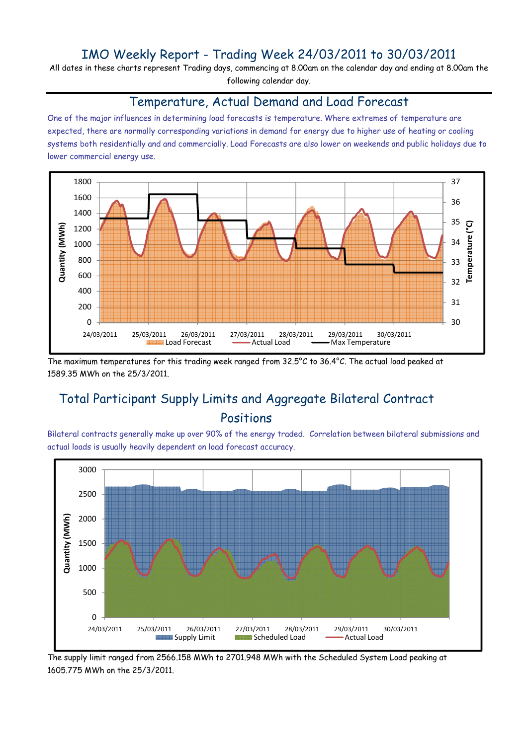## IMO Weekly Report - Trading Week 24/03/2011 to 30/03/2011

All dates in these charts represent Trading days, commencing at 8.00am on the calendar day and ending at 8.00am the following calendar day.

#### Temperature, Actual Demand and Load Forecast

One of the major influences in determining load forecasts is temperature. Where extremes of temperature are expected, there are normally corresponding variations in demand for energy due to higher use of heating or cooling systems both residentially and and commercially. Load Forecasts are also lower on weekends and public holidays due to lower commercial energy use.



The maximum temperatures for this trading week ranged from 32.5°C to 36.4°C. The actual load peaked at 1589.35 MWh on the 25/3/2011.

# Total Participant Supply Limits and Aggregate Bilateral Contract Positions

Bilateral contracts generally make up over 90% of the energy traded. Correlation between bilateral submissions and actual loads is usually heavily dependent on load forecast accuracy.



The supply limit ranged from 2566.158 MWh to 2701.948 MWh with the Scheduled System Load peaking at 1605.775 MWh on the 25/3/2011.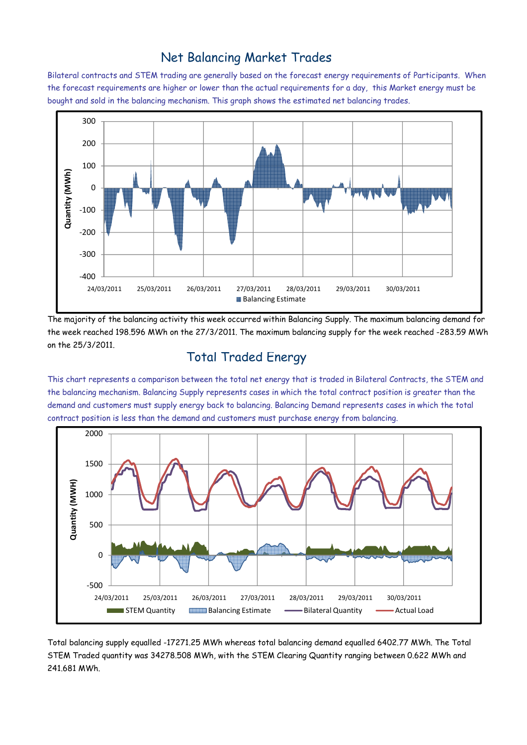### Net Balancing Market Trades

Bilateral contracts and STEM trading are generally based on the forecast energy requirements of Participants. When the forecast requirements are higher or lower than the actual requirements for a day, this Market energy must be bought and sold in the balancing mechanism. This graph shows the estimated net balancing trades.



The majority of the balancing activity this week occurred within Balancing Supply. The maximum balancing demand for the week reached 198.596 MWh on the 27/3/2011. The maximum balancing supply for the week reached -283.59 MWh on the 25/3/2011.

#### Total Traded Energy

This chart represents a comparison between the total net energy that is traded in Bilateral Contracts, the STEM and the balancing mechanism. Balancing Supply represents cases in which the total contract position is greater than the demand and customers must supply energy back to balancing. Balancing Demand represents cases in which the total contract position is less than the demand and customers must purchase energy from balancing.



Total balancing supply equalled -17271.25 MWh whereas total balancing demand equalled 6402.77 MWh. The Total STEM Traded quantity was 34278.508 MWh, with the STEM Clearing Quantity ranging between 0.622 MWh and 241.681 MWh.